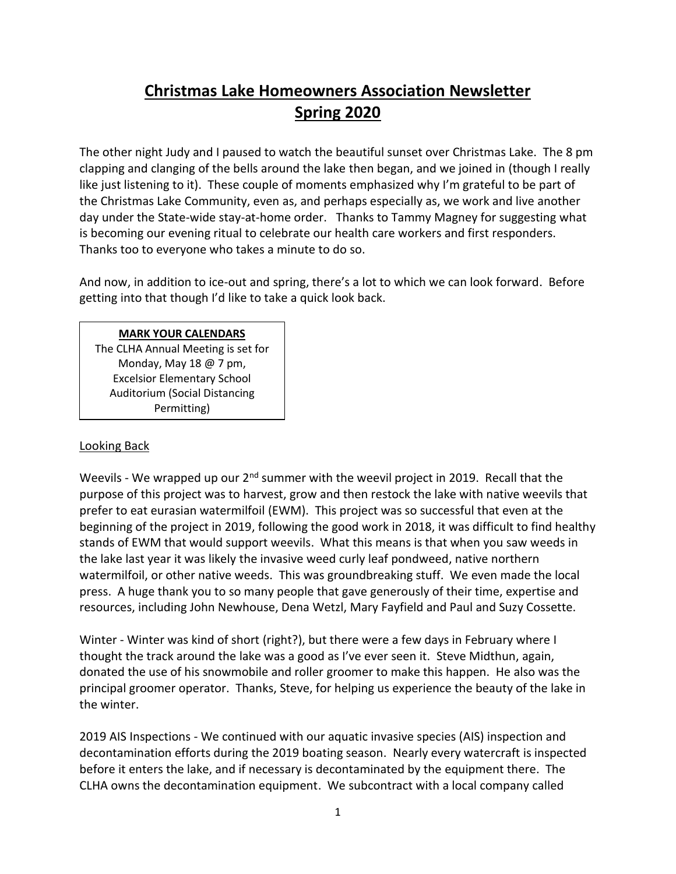## **Christmas Lake Homeowners Association Newsletter Spring 2020**

The other night Judy and I paused to watch the beautiful sunset over Christmas Lake. The 8 pm clapping and clanging of the bells around the lake then began, and we joined in (though I really like just listening to it). These couple of moments emphasized why I'm grateful to be part of the Christmas Lake Community, even as, and perhaps especially as, we work and live another day under the State-wide stay-at-home order. Thanks to Tammy Magney for suggesting what is becoming our evening ritual to celebrate our health care workers and first responders. Thanks too to everyone who takes a minute to do so.

And now, in addition to ice-out and spring, there's a lot to which we can look forward. Before getting into that though I'd like to take a quick look back.

#### **MARK YOUR CALENDARS**

The CLHA Annual Meeting is set for Monday, May 18 @ 7 pm, Excelsior Elementary School Auditorium (Social Distancing Permitting)

#### Looking Back

Weevils - We wrapped up our 2<sup>nd</sup> summer with the weevil project in 2019. Recall that the purpose of this project was to harvest, grow and then restock the lake with native weevils that prefer to eat eurasian watermilfoil (EWM). This project was so successful that even at the beginning of the project in 2019, following the good work in 2018, it was difficult to find healthy stands of EWM that would support weevils. What this means is that when you saw weeds in the lake last year it was likely the invasive weed curly leaf pondweed, native northern watermilfoil, or other native weeds. This was groundbreaking stuff. We even made the local press. A huge thank you to so many people that gave generously of their time, expertise and resources, including John Newhouse, Dena Wetzl, Mary Fayfield and Paul and Suzy Cossette.

Winter - Winter was kind of short (right?), but there were a few days in February where I thought the track around the lake was a good as I've ever seen it. Steve Midthun, again, donated the use of his snowmobile and roller groomer to make this happen. He also was the principal groomer operator. Thanks, Steve, for helping us experience the beauty of the lake in the winter.

2019 AIS Inspections - We continued with our aquatic invasive species (AIS) inspection and decontamination efforts during the 2019 boating season. Nearly every watercraft is inspected before it enters the lake, and if necessary is decontaminated by the equipment there. The CLHA owns the decontamination equipment. We subcontract with a local company called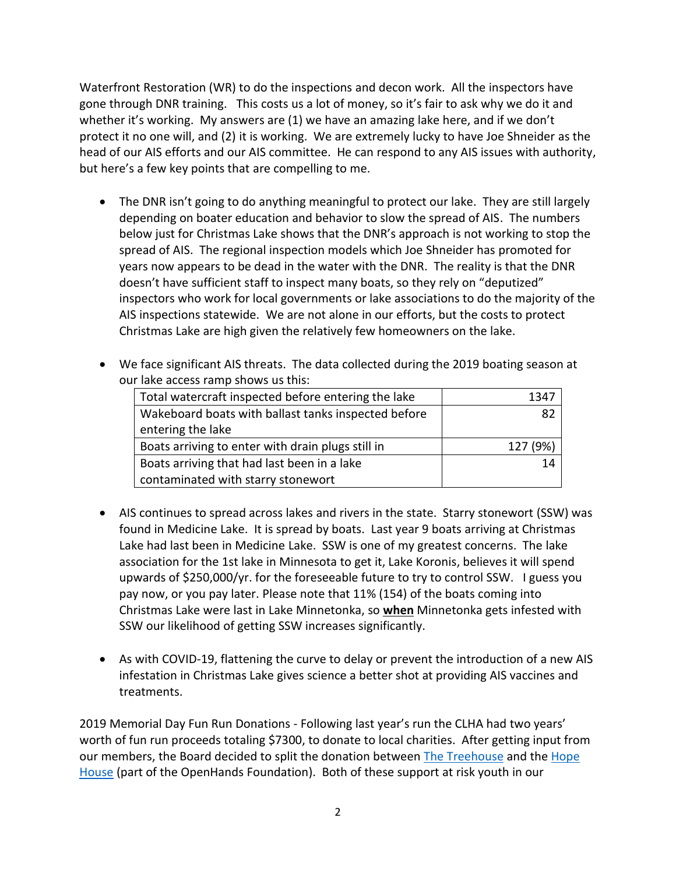Waterfront Restoration (WR) to do the inspections and decon work. All the inspectors have gone through DNR training. This costs us a lot of money, so it's fair to ask why we do it and whether it's working. My answers are (1) we have an amazing lake here, and if we don't protect it no one will, and (2) it is working. We are extremely lucky to have Joe Shneider as the head of our AIS efforts and our AIS committee. He can respond to any AIS issues with authority, but here's a few key points that are compelling to me.

- The DNR isn't going to do anything meaningful to protect our lake. They are still largely depending on boater education and behavior to slow the spread of AIS. The numbers below just for Christmas Lake shows that the DNR's approach is not working to stop the spread of AIS. The regional inspection models which Joe Shneider has promoted for years now appears to be dead in the water with the DNR. The reality is that the DNR doesn't have sufficient staff to inspect many boats, so they rely on "deputized" inspectors who work for local governments or lake associations to do the majority of the AIS inspections statewide. We are not alone in our efforts, but the costs to protect Christmas Lake are high given the relatively few homeowners on the lake.
- We face significant AIS threats. The data collected during the 2019 boating season at our lake access ramp shows us this:

| Total watercraft inspected before entering the lake | 1347     |
|-----------------------------------------------------|----------|
| Wakeboard boats with ballast tanks inspected before | 82       |
| entering the lake                                   |          |
| Boats arriving to enter with drain plugs still in   | 127 (9%) |
| Boats arriving that had last been in a lake         | 14       |
| contaminated with starry stonewort                  |          |

- AIS continues to spread across lakes and rivers in the state. Starry stonewort (SSW) was found in Medicine Lake. It is spread by boats. Last year 9 boats arriving at Christmas Lake had last been in Medicine Lake. SSW is one of my greatest concerns. The lake association for the 1st lake in Minnesota to get it, Lake Koronis, believes it will spend upwards of \$250,000/yr. for the foreseeable future to try to control SSW. I guess you pay now, or you pay later. Please note that 11% (154) of the boats coming into Christmas Lake were last in Lake Minnetonka, so **when** Minnetonka gets infested with SSW our likelihood of getting SSW increases significantly.
- As with COVID-19, flattening the curve to delay or prevent the introduction of a new AIS infestation in Christmas Lake gives science a better shot at providing AIS vaccines and treatments.

2019 Memorial Day Fun Run Donations - Following last year's run the CLHA had two years' worth of fun run proceeds totaling \$7300, to donate to local charities. After getting input from our members, the Board decided to split the donation between [The Treehouse](https://treehousehope.org/) and the [Hope](https://www.openhandsfoundation.com/the-hope-house)  [House](https://www.openhandsfoundation.com/the-hope-house) (part of the OpenHands Foundation). Both of these support at risk youth in our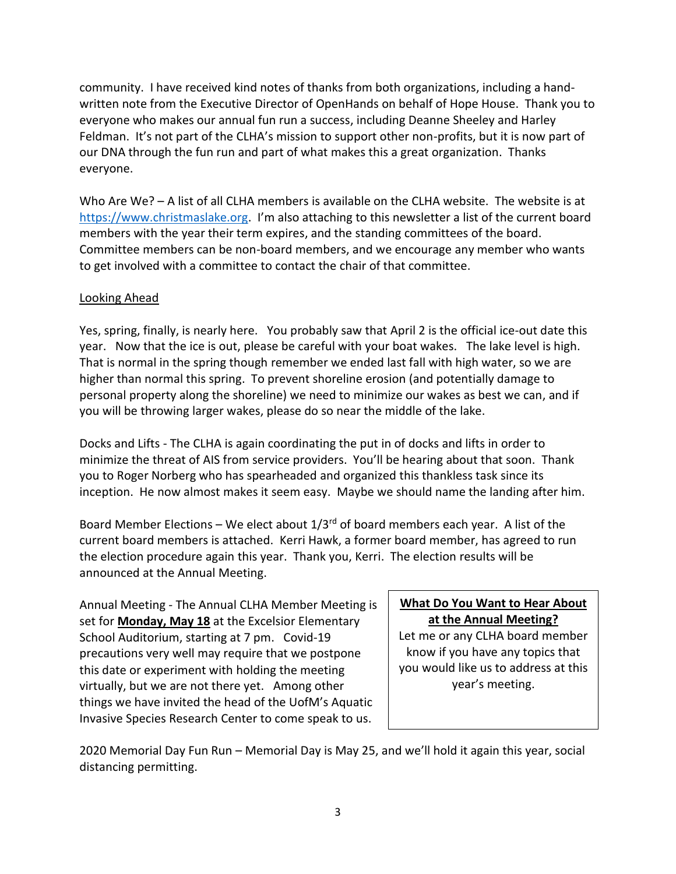community. I have received kind notes of thanks from both organizations, including a handwritten note from the Executive Director of OpenHands on behalf of Hope House. Thank you to everyone who makes our annual fun run a success, including Deanne Sheeley and Harley Feldman. It's not part of the CLHA's mission to support other non-profits, but it is now part of our DNA through the fun run and part of what makes this a great organization. Thanks everyone.

Who Are We? - A list of all CLHA members is available on the CLHA website. The website is at [https://www.christmaslake.org.](https://www.christmaslake.org/paidmembers/2019%20Paid%20Members.htm) I'm also attaching to this newsletter a list of the current board members with the year their term expires, and the standing committees of the board. Committee members can be non-board members, and we encourage any member who wants to get involved with a committee to contact the chair of that committee.

#### Looking Ahead

Yes, spring, finally, is nearly here. You probably saw that April 2 is the official ice-out date this year. Now that the ice is out, please be careful with your boat wakes. The lake level is high. That is normal in the spring though remember we ended last fall with high water, so we are higher than normal this spring. To prevent shoreline erosion (and potentially damage to personal property along the shoreline) we need to minimize our wakes as best we can, and if you will be throwing larger wakes, please do so near the middle of the lake.

Docks and Lifts - The CLHA is again coordinating the put in of docks and lifts in order to minimize the threat of AIS from service providers. You'll be hearing about that soon. Thank you to Roger Norberg who has spearheaded and organized this thankless task since its inception. He now almost makes it seem easy. Maybe we should name the landing after him.

Board Member Elections – We elect about  $1/3^{rd}$  of board members each year. A list of the current board members is attached. Kerri Hawk, a former board member, has agreed to run the election procedure again this year. Thank you, Kerri. The election results will be announced at the Annual Meeting.

Annual Meeting - The Annual CLHA Member Meeting is set for **Monday, May 18** at the Excelsior Elementary School Auditorium, starting at 7 pm. Covid-19 precautions very well may require that we postpone this date or experiment with holding the meeting virtually, but we are not there yet. Among other things we have invited the head of the UofM's Aquatic Invasive Species Research Center to come speak to us.

### **What Do You Want to Hear About at the Annual Meeting?**

Let me or any CLHA board member know if you have any topics that you would like us to address at this year's meeting.

2020 Memorial Day Fun Run – Memorial Day is May 25, and we'll hold it again this year, social distancing permitting.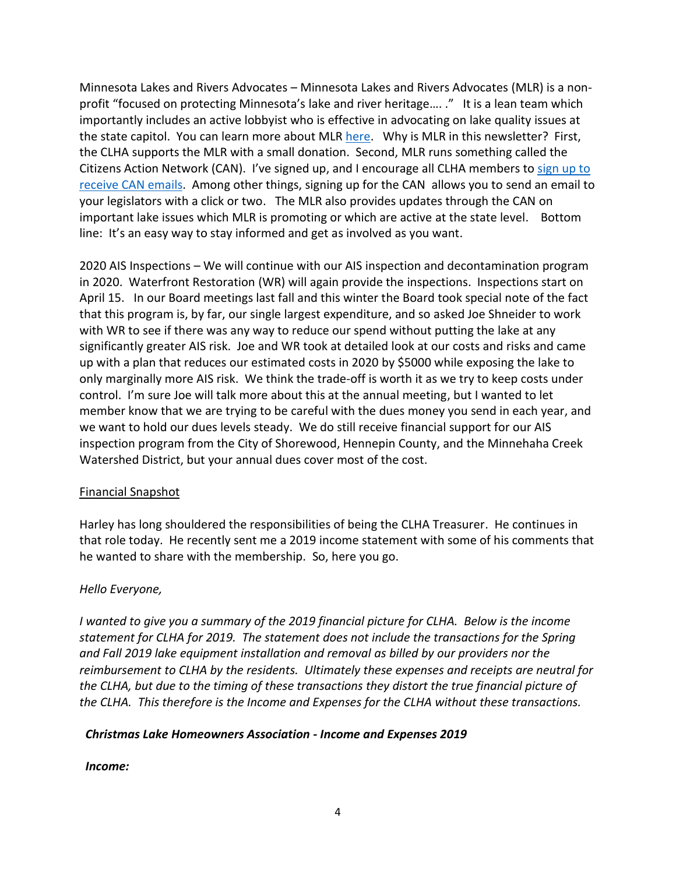Minnesota Lakes and Rivers Advocates – Minnesota Lakes and Rivers Advocates (MLR) is a nonprofit "focused on protecting Minnesota's lake and river heritage....." It is a lean team which importantly includes an active lobbyist who is effective in advocating on lake quality issues at the state capitol. You can learn more about MLR [here.](http://www.mnlakesandrivers.org/) Why is MLR in this newsletter? First, the CLHA supports the MLR with a small donation. Second, MLR runs something called the Citizens Action Network (CAN). I've signed up, and I encourage all CLHA members to sign up to [receive CAN](https://www3.thedatabank.com/dpg/529/personal2.asp?formid=signup) emails. Among other things, signing up for the CAN allows you to send an email to your legislators with a click or two. The MLR also provides updates through the CAN on important lake issues which MLR is promoting or which are active at the state level. Bottom line: It's an easy way to stay informed and get as involved as you want.

2020 AIS Inspections – We will continue with our AIS inspection and decontamination program in 2020. Waterfront Restoration (WR) will again provide the inspections. Inspections start on April 15. In our Board meetings last fall and this winter the Board took special note of the fact that this program is, by far, our single largest expenditure, and so asked Joe Shneider to work with WR to see if there was any way to reduce our spend without putting the lake at any significantly greater AIS risk. Joe and WR took at detailed look at our costs and risks and came up with a plan that reduces our estimated costs in 2020 by \$5000 while exposing the lake to only marginally more AIS risk. We think the trade-off is worth it as we try to keep costs under control. I'm sure Joe will talk more about this at the annual meeting, but I wanted to let member know that we are trying to be careful with the dues money you send in each year, and we want to hold our dues levels steady. We do still receive financial support for our AIS inspection program from the City of Shorewood, Hennepin County, and the Minnehaha Creek Watershed District, but your annual dues cover most of the cost.

#### Financial Snapshot

Harley has long shouldered the responsibilities of being the CLHA Treasurer. He continues in that role today. He recently sent me a 2019 income statement with some of his comments that he wanted to share with the membership. So, here you go.

#### *Hello Everyone,*

*I* wanted to give you a summary of the 2019 financial picture for CLHA. Below is the income *statement for CLHA for 2019. The statement does not include the transactions for the Spring and Fall 2019 lake equipment installation and removal as billed by our providers nor the reimbursement to CLHA by the residents. Ultimately these expenses and receipts are neutral for the CLHA, but due to the timing of these transactions they distort the true financial picture of the CLHA. This therefore is the Income and Expenses for the CLHA without these transactions.*

#### *Christmas Lake Homeowners Association - Income and Expenses 2019*

#### *Income:*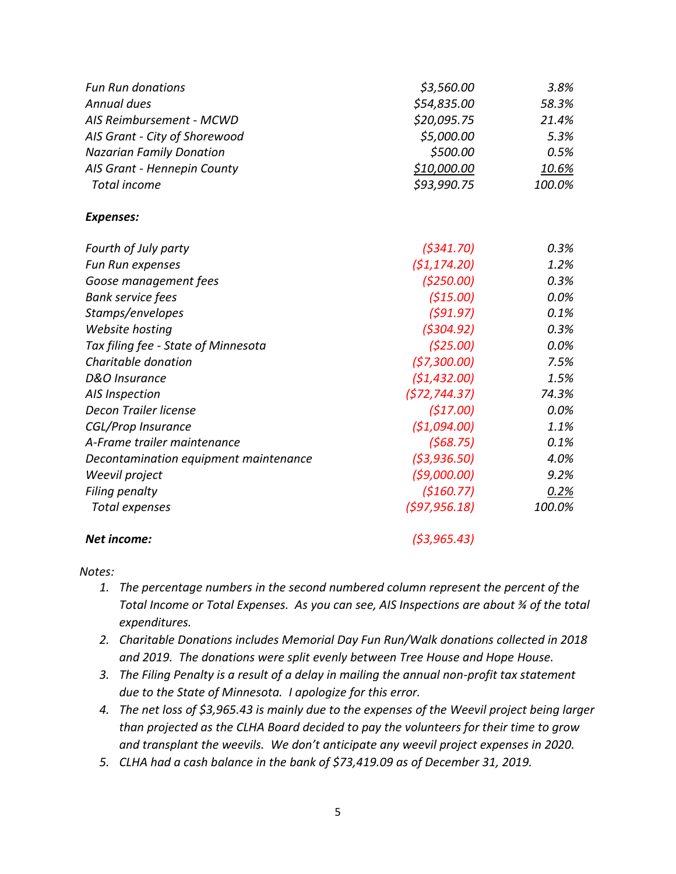| <b>Fun Run donations</b>              | \$3,560.00    | 3.8%         |
|---------------------------------------|---------------|--------------|
| Annual dues                           | \$54,835.00   | 58.3%        |
| AIS Reimbursement - MCWD              | \$20,095.75   | 21.4%        |
| AIS Grant - City of Shorewood         | \$5,000.00    | 5.3%         |
| <b>Nazarian Family Donation</b>       | \$500.00      | 0.5%         |
| AIS Grant - Hennepin County           | \$10,000.00   | <u>10.6%</u> |
| Total income                          | \$93,990.75   | 100.0%       |
| <b>Expenses:</b>                      |               |              |
| Fourth of July party                  | (5341.70)     | 0.3%         |
| Fun Run expenses                      | (51, 174.20)  | 1.2%         |
| Goose management fees                 | (\$250.00)    | 0.3%         |
| <b>Bank service fees</b>              | (515.00)      | 0.0%         |
| Stamps/envelopes                      | (591.97)      | 0.1%         |
| Website hosting                       | (5304.92)     | 0.3%         |
| Tax filing fee - State of Minnesota   | (525.00)      | 0.0%         |
| Charitable donation                   | (57,300.00)   | 7.5%         |
| D&O Insurance                         | (51, 432.00)  | 1.5%         |
| AIS Inspection                        | (572, 744.37) | 74.3%        |
| Decon Trailer license                 | (517.00)      | 0.0%         |
| <b>CGL/Prop Insurance</b>             | (51,094.00)   | 1.1%         |
| A-Frame trailer maintenance           | (568.75)      | 0.1%         |
| Decontamination equipment maintenance | (53,936.50)   | 4.0%         |
| Weevil project                        | (59,000.00)   | 9.2%         |
| Filing penalty                        | (\$160.77)    | 0.2%         |
| Total expenses                        | (597, 956.18) | 100.0%       |
| Net income:                           | ( \$3,965.43) |              |

#### *Notes:*

- *1. The percentage numbers in the second numbered column represent the percent of the Total Income or Total Expenses. As you can see, AIS Inspections are about ¾ of the total expenditures.*
- *2. Charitable Donations includes Memorial Day Fun Run/Walk donations collected in 2018 and 2019. The donations were split evenly between Tree House and Hope House.*
- *3. The Filing Penalty is a result of a delay in mailing the annual non-profit tax statement due to the State of Minnesota. I apologize for this error.*
- *4. The net loss of \$3,965.43 is mainly due to the expenses of the Weevil project being larger than projected as the CLHA Board decided to pay the volunteers for their time to grow and transplant the weevils. We don't anticipate any weevil project expenses in 2020.*
- *5. CLHA had a cash balance in the bank of \$73,419.09 as of December 31, 2019.*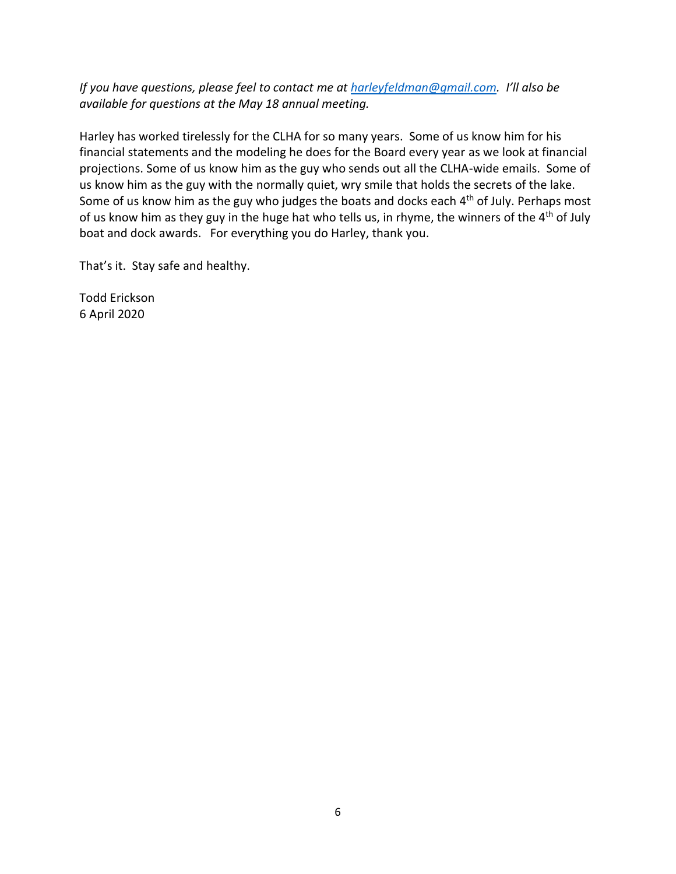*If you have questions, please feel to contact me at [harleyfeldman@gmail.com.](mailto:harleyfeldman@gmail.com) I'll also be available for questions at the May 18 annual meeting.*

Harley has worked tirelessly for the CLHA for so many years. Some of us know him for his financial statements and the modeling he does for the Board every year as we look at financial projections. Some of us know him as the guy who sends out all the CLHA-wide emails. Some of us know him as the guy with the normally quiet, wry smile that holds the secrets of the lake. Some of us know him as the guy who judges the boats and docks each 4<sup>th</sup> of July. Perhaps most of us know him as they guy in the huge hat who tells us, in rhyme, the winners of the  $4<sup>th</sup>$  of July boat and dock awards. For everything you do Harley, thank you.

That's it. Stay safe and healthy.

Todd Erickson 6 April 2020